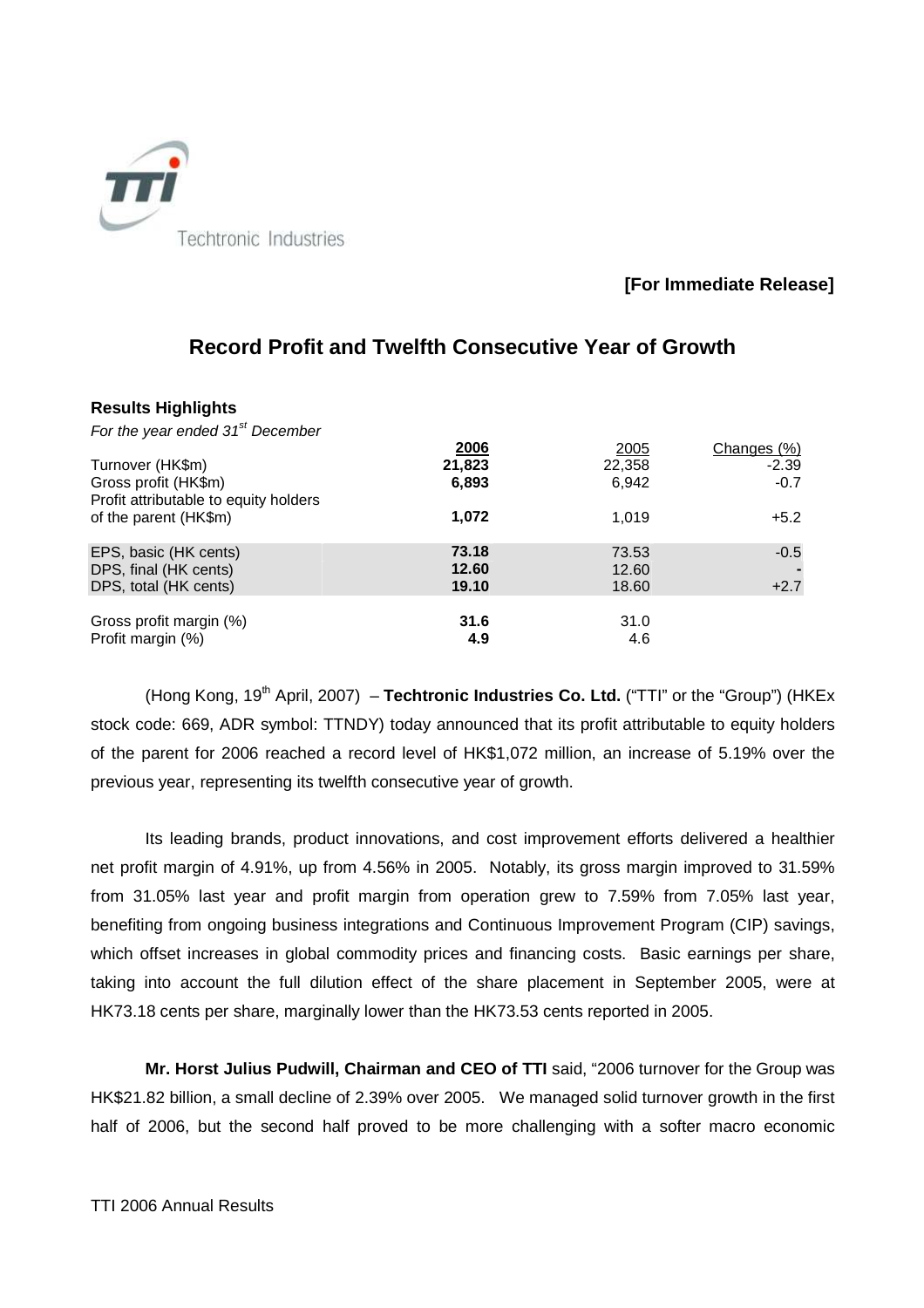

# **[For Immediate Release]**

| <b>Results Highlights</b>                                               |                         |                         |                        |
|-------------------------------------------------------------------------|-------------------------|-------------------------|------------------------|
| For the year ended $31st$ December                                      |                         |                         |                        |
| Turnover (HK\$m)                                                        | 2006<br>21,823          | <u>2005</u><br>22,358   | Changes (%)<br>$-2.39$ |
| Gross profit (HK\$m)<br>Profit attributable to equity holders           | 6,893                   | 6.942                   | $-0.7$                 |
| of the parent (HK\$m)                                                   | 1,072                   | 1.019                   | $+5.2$                 |
| EPS, basic (HK cents)<br>DPS, final (HK cents)<br>DPS, total (HK cents) | 73.18<br>12.60<br>19.10 | 73.53<br>12.60<br>18.60 | $-0.5$<br>$+2.7$       |
| Gross profit margin (%)<br>Profit margin (%)                            | 31.6<br>4.9             | 31.0<br>4.6             |                        |

# **Record Profit and Twelfth Consecutive Year of Growth**

(Hong Kong, 19<sup>th</sup> April, 2007) – **Techtronic Industries Co. Ltd.** ("TTI" or the "Group") (HKEx stock code: 669, ADR symbol: TTNDY) today announced that its profit attributable to equity holders of the parent for 2006 reached a record level of HK\$1,072 million, an increase of 5.19% over the previous year, representing its twelfth consecutive year of growth.

Its leading brands, product innovations, and cost improvement efforts delivered a healthier net profit margin of 4.91%, up from 4.56% in 2005. Notably, its gross margin improved to 31.59% from 31.05% last year and profit margin from operation grew to 7.59% from 7.05% last year, benefiting from ongoing business integrations and Continuous Improvement Program (CIP) savings, which offset increases in global commodity prices and financing costs. Basic earnings per share, taking into account the full dilution effect of the share placement in September 2005, were at HK73.18 cents per share, marginally lower than the HK73.53 cents reported in 2005.

**Mr. Horst Julius Pudwill, Chairman and CEO of TTI** said, "2006 turnover for the Group was HK\$21.82 billion, a small decline of 2.39% over 2005. We managed solid turnover growth in the first half of 2006, but the second half proved to be more challenging with a softer macro economic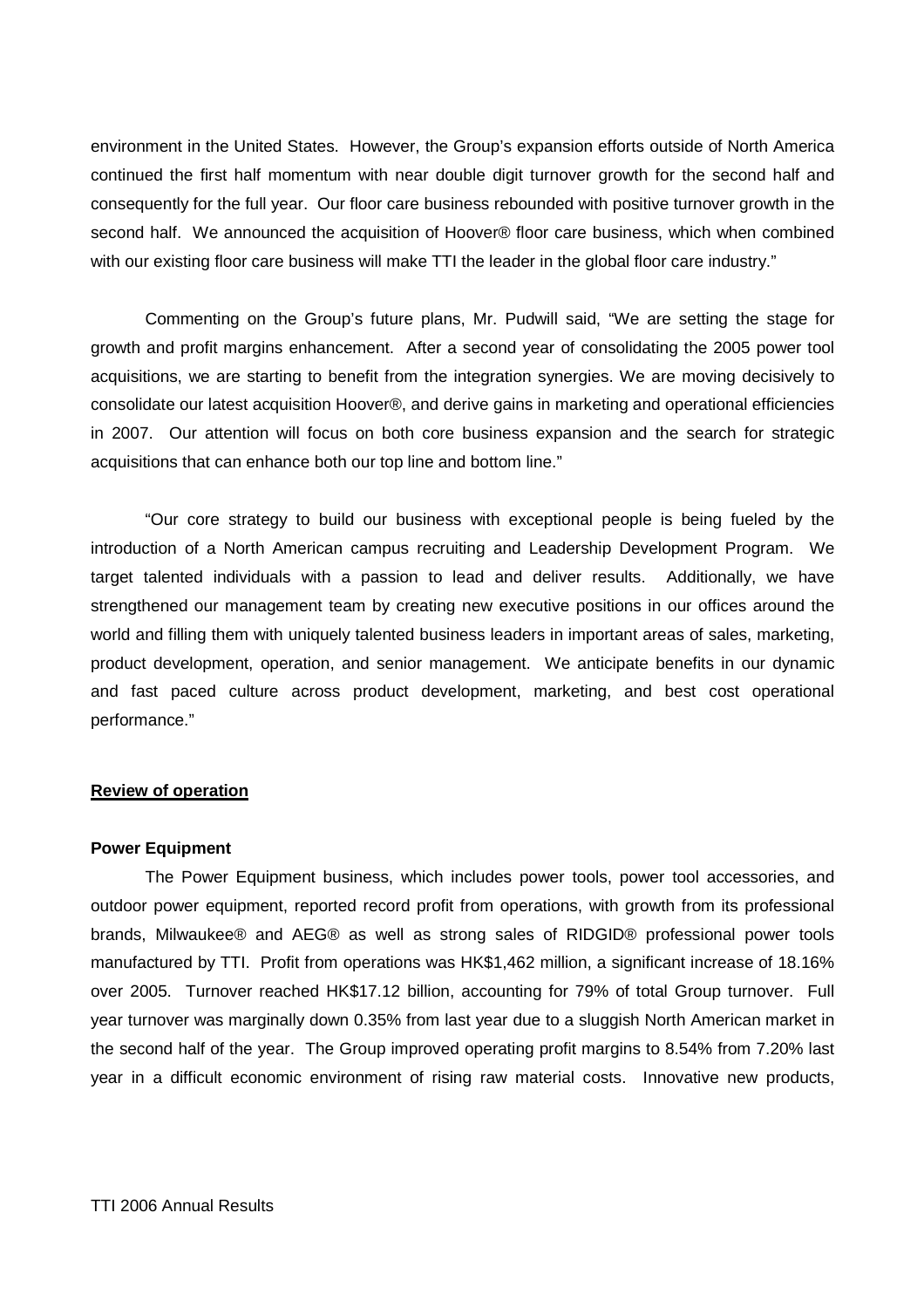environment in the United States. However, the Group's expansion efforts outside of North America continued the first half momentum with near double digit turnover growth for the second half and consequently for the full year. Our floor care business rebounded with positive turnover growth in the second half. We announced the acquisition of Hoover® floor care business, which when combined with our existing floor care business will make TTI the leader in the global floor care industry."

Commenting on the Group's future plans, Mr. Pudwill said, "We are setting the stage for growth and profit margins enhancement. After a second year of consolidating the 2005 power tool acquisitions, we are starting to benefit from the integration synergies. We are moving decisively to consolidate our latest acquisition Hoover®, and derive gains in marketing and operational efficiencies in 2007. Our attention will focus on both core business expansion and the search for strategic acquisitions that can enhance both our top line and bottom line."

"Our core strategy to build our business with exceptional people is being fueled by the introduction of a North American campus recruiting and Leadership Development Program. We target talented individuals with a passion to lead and deliver results. Additionally, we have strengthened our management team by creating new executive positions in our offices around the world and filling them with uniquely talented business leaders in important areas of sales, marketing, product development, operation, and senior management. We anticipate benefits in our dynamic and fast paced culture across product development, marketing, and best cost operational performance."

# **Review of operation**

#### **Power Equipment**

The Power Equipment business, which includes power tools, power tool accessories, and outdoor power equipment, reported record profit from operations, with growth from its professional brands, Milwaukee® and AEG® as well as strong sales of RIDGID® professional power tools manufactured by TTI. Profit from operations was HK\$1,462 million, a significant increase of 18.16% over 2005. Turnover reached HK\$17.12 billion, accounting for 79% of total Group turnover. Full year turnover was marginally down 0.35% from last year due to a sluggish North American market in the second half of the year. The Group improved operating profit margins to 8.54% from 7.20% last year in a difficult economic environment of rising raw material costs. Innovative new products,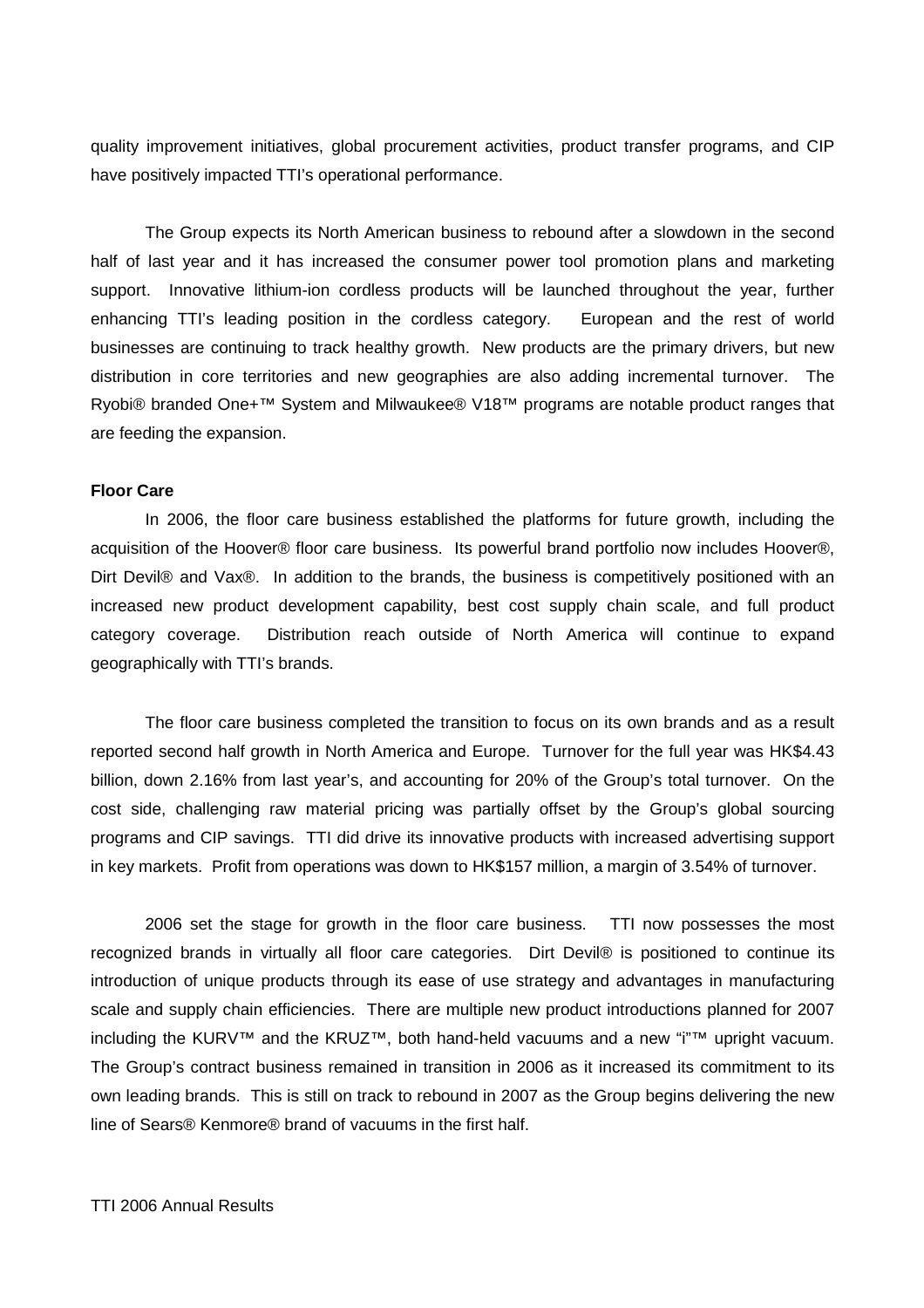quality improvement initiatives, global procurement activities, product transfer programs, and CIP have positively impacted TTI's operational performance.

The Group expects its North American business to rebound after a slowdown in the second half of last year and it has increased the consumer power tool promotion plans and marketing support. Innovative lithium-ion cordless products will be launched throughout the year, further enhancing TTI's leading position in the cordless category. European and the rest of world businesses are continuing to track healthy growth. New products are the primary drivers, but new distribution in core territories and new geographies are also adding incremental turnover. The Ryobi® branded One+™ System and Milwaukee® V18™ programs are notable product ranges that are feeding the expansion.

# **Floor Care**

In 2006, the floor care business established the platforms for future growth, including the acquisition of the Hoover® floor care business. Its powerful brand portfolio now includes Hoover®, Dirt Devil® and Vax®. In addition to the brands, the business is competitively positioned with an increased new product development capability, best cost supply chain scale, and full product category coverage. Distribution reach outside of North America will continue to expand geographically with TTI's brands.

The floor care business completed the transition to focus on its own brands and as a result reported second half growth in North America and Europe. Turnover for the full year was HK\$4.43 billion, down 2.16% from last year's, and accounting for 20% of the Group's total turnover. On the cost side, challenging raw material pricing was partially offset by the Group's global sourcing programs and CIP savings. TTI did drive its innovative products with increased advertising support in key markets. Profit from operations was down to HK\$157 million, a margin of 3.54% of turnover.

2006 set the stage for growth in the floor care business. TTI now possesses the most recognized brands in virtually all floor care categories. Dirt Devil® is positioned to continue its introduction of unique products through its ease of use strategy and advantages in manufacturing scale and supply chain efficiencies. There are multiple new product introductions planned for 2007 including the KURV™ and the KRUZ™, both hand-held vacuums and a new "i"™ upright vacuum. The Group's contract business remained in transition in 2006 as it increased its commitment to its own leading brands. This is still on track to rebound in 2007 as the Group begins delivering the new line of Sears® Kenmore® brand of vacuums in the first half.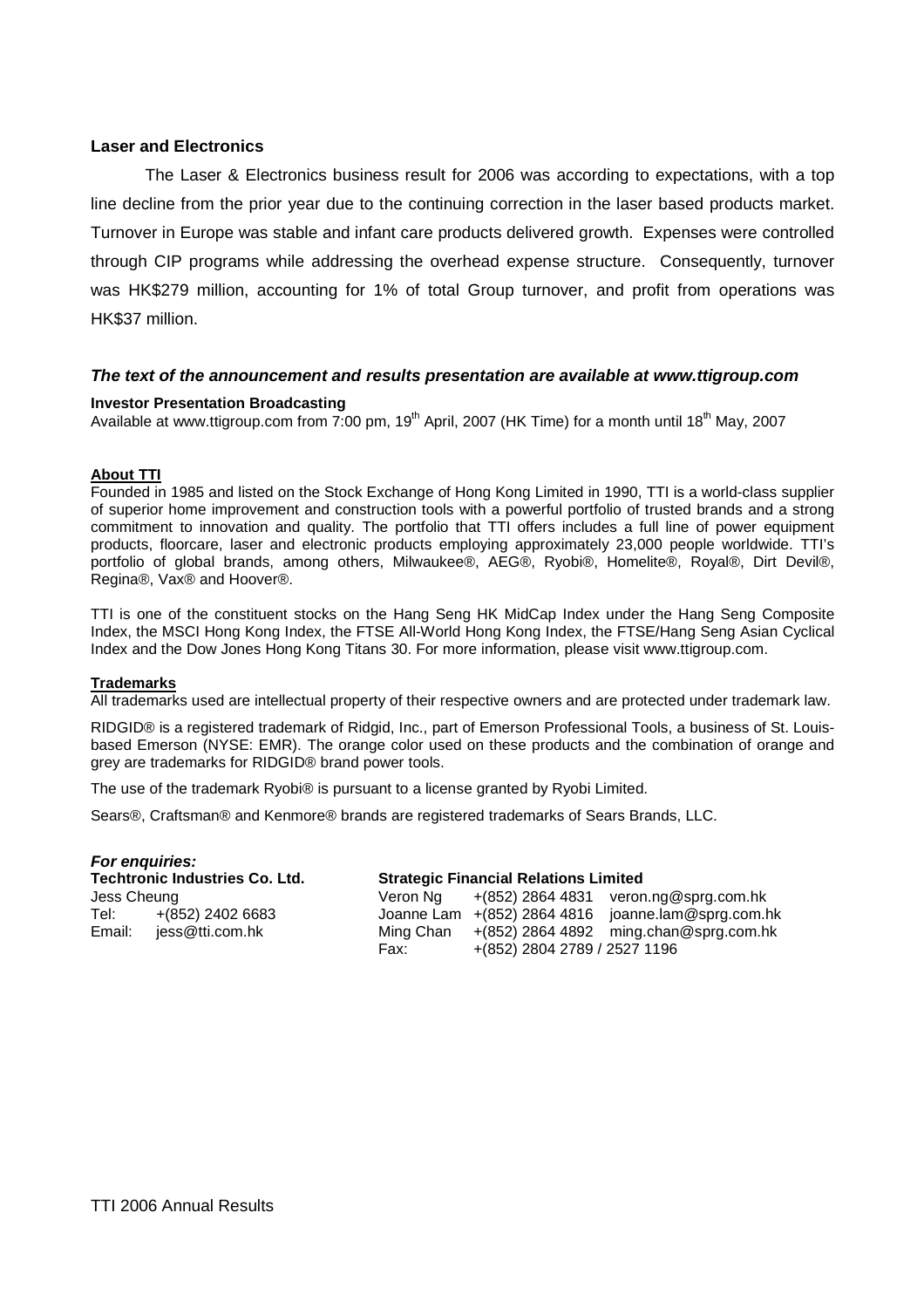# **Laser and Electronics**

The Laser & Electronics business result for 2006 was according to expectations, with a top line decline from the prior year due to the continuing correction in the laser based products market. Turnover in Europe was stable and infant care products delivered growth. Expenses were controlled through CIP programs while addressing the overhead expense structure. Consequently, turnover was HK\$279 million, accounting for 1% of total Group turnover, and profit from operations was HK\$37 million.

## **The text of the announcement and results presentation are available at www.ttigroup.com**

#### **Investor Presentation Broadcasting**

Available at www.ttigroup.com from 7:00 pm, 19<sup>th</sup> April, 2007 (HK Time) for a month until 18<sup>th</sup> May, 2007

## **About TTI**

Founded in 1985 and listed on the Stock Exchange of Hong Kong Limited in 1990, TTI is a world-class supplier of superior home improvement and construction tools with a powerful portfolio of trusted brands and a strong commitment to innovation and quality. The portfolio that TTI offers includes a full line of power equipment products, floorcare, laser and electronic products employing approximately 23,000 people worldwide. TTI's portfolio of global brands, among others, Milwaukee®, AEG®, Ryobi®, Homelite®, Royal®, Dirt Devil®, Regina®, Vax® and Hoover®.

TTI is one of the constituent stocks on the Hang Seng HK MidCap Index under the Hang Seng Composite Index, the MSCI Hong Kong Index, the FTSE All-World Hong Kong Index, the FTSE/Hang Seng Asian Cyclical Index and the Dow Jones Hong Kong Titans 30. For more information, please visit www.ttigroup.com.

#### **Trademarks**

All trademarks used are intellectual property of their respective owners and are protected under trademark law.

RIDGID® is a registered trademark of Ridgid, Inc., part of Emerson Professional Tools, a business of St. Louisbased Emerson (NYSE: EMR). The orange color used on these products and the combination of orange and grey are trademarks for RIDGID® brand power tools.

The use of the trademark Ryobi® is pursuant to a license granted by Ryobi Limited.

Sears®, Craftsman® and Kenmore® brands are registered trademarks of Sears Brands, LLC.

|             | For enquiries:                        |           |                                              |                                                      |  |  |
|-------------|---------------------------------------|-----------|----------------------------------------------|------------------------------------------------------|--|--|
|             | <b>Techtronic Industries Co. Ltd.</b> |           | <b>Strategic Financial Relations Limited</b> |                                                      |  |  |
| Jess Cheung |                                       | Veron Na  |                                              | $+(852)$ 2864 4831 veron.ng@sprg.com.hk              |  |  |
| Tel:        | +(852) 2402 6683                      |           |                                              | Joanne Lam $+(852)$ 2864 4816 joanne.lam@sprg.com.hk |  |  |
| Email:      | jess@tti.com.hk                       | Ming Chan |                                              | $+(852)$ 2864 4892 ming.chan@sprg.com.hk             |  |  |
|             |                                       | Fax:      | +(852) 2804 2789 / 2527 1196                 |                                                      |  |  |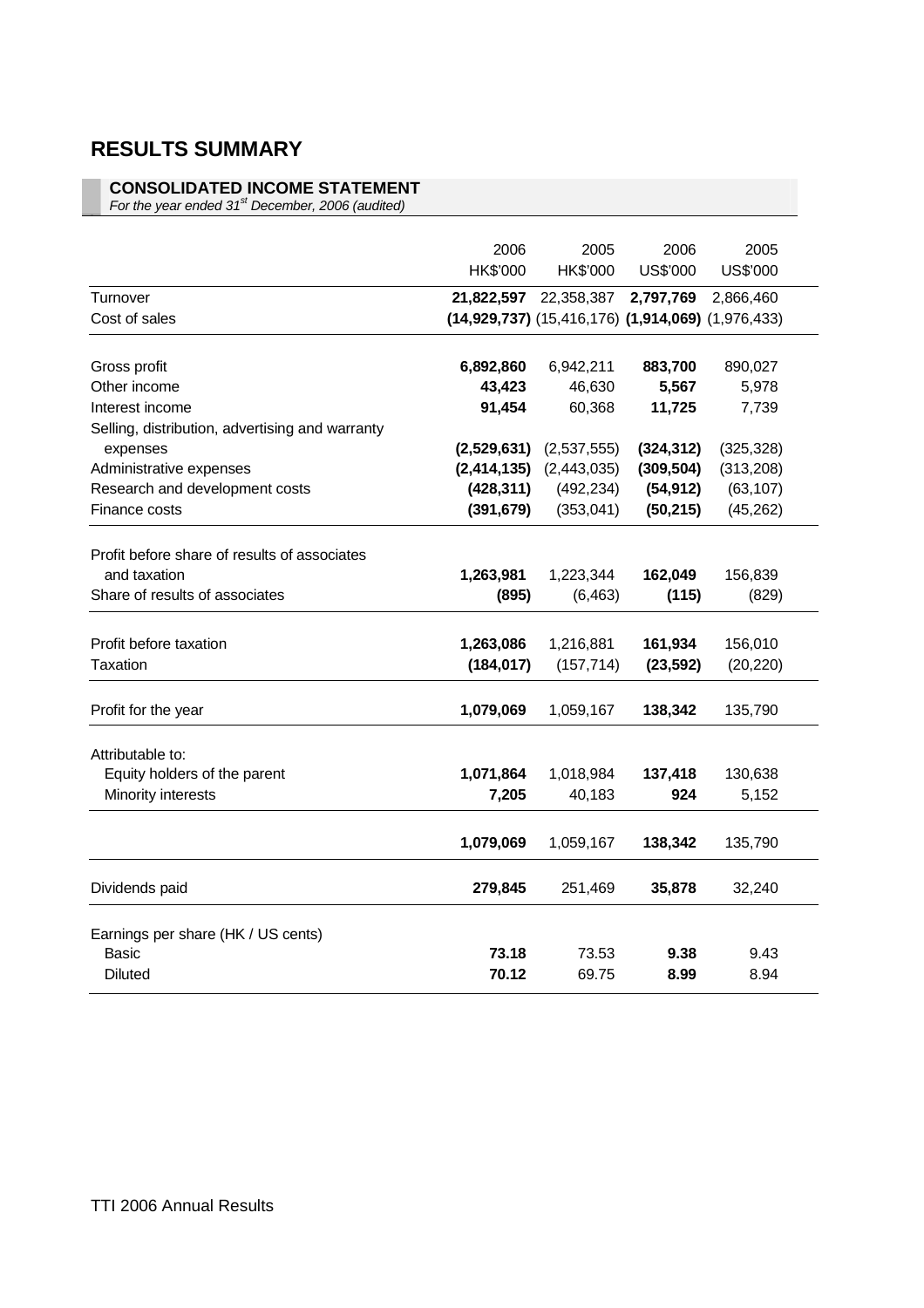# **RESULTS SUMMARY**

# **CONSOLIDATED INCOME STATEMENT**

For the year ended  $31<sup>st</sup>$  December, 2006 (audited)

|                                                 | 2006<br>HK\$'000 | 2005<br>HK\$'000                                                        | 2006<br>US\$'000 | 2005<br>US\$'000 |
|-------------------------------------------------|------------------|-------------------------------------------------------------------------|------------------|------------------|
| Turnover<br>Cost of sales                       | 21,822,597       | 22,358,387<br>$(14,929,737)$ $(15,416,176)$ $(1,914,069)$ $(1,976,433)$ | 2,797,769        | 2,866,460        |
|                                                 |                  |                                                                         |                  |                  |
| Gross profit                                    | 6,892,860        | 6,942,211                                                               | 883,700          | 890,027          |
| Other income                                    | 43,423           | 46,630                                                                  | 5,567            | 5,978            |
| Interest income                                 | 91,454           | 60,368                                                                  | 11,725           | 7,739            |
| Selling, distribution, advertising and warranty |                  |                                                                         |                  |                  |
| expenses                                        | (2,529,631)      | (2,537,555)                                                             | (324, 312)       | (325, 328)       |
| Administrative expenses                         | (2, 414, 135)    | (2,443,035)                                                             | (309, 504)       | (313, 208)       |
| Research and development costs                  | (428, 311)       | (492, 234)                                                              | (54, 912)        | (63, 107)        |
| Finance costs                                   | (391, 679)       | (353,041)                                                               | (50, 215)        | (45, 262)        |
|                                                 |                  |                                                                         |                  |                  |
| Profit before share of results of associates    |                  |                                                                         |                  |                  |
| and taxation                                    | 1,263,981        | 1,223,344                                                               | 162,049          | 156,839          |
| Share of results of associates                  | (895)            | (6, 463)                                                                | (115)            | (829)            |
|                                                 |                  |                                                                         |                  |                  |
| Profit before taxation                          | 1,263,086        | 1,216,881                                                               | 161,934          | 156,010          |
| Taxation                                        | (184, 017)       | (157, 714)                                                              | (23, 592)        | (20, 220)        |
|                                                 |                  |                                                                         |                  |                  |
| Profit for the year                             | 1,079,069        | 1,059,167                                                               | 138,342          | 135,790          |
| Attributable to:                                |                  |                                                                         |                  |                  |
| Equity holders of the parent                    | 1,071,864        | 1,018,984                                                               | 137,418          | 130,638          |
| Minority interests                              | 7,205            | 40,183                                                                  | 924              | 5,152            |
|                                                 |                  |                                                                         |                  |                  |
|                                                 | 1,079,069        | 1,059,167                                                               | 138,342          | 135,790          |
| Dividends paid                                  | 279,845          | 251,469                                                                 | 35,878           | 32,240           |
|                                                 |                  |                                                                         |                  |                  |
| Earnings per share (HK / US cents)              |                  |                                                                         |                  |                  |
| Basic                                           | 73.18            | 73.53                                                                   | 9.38             | 9.43             |
| <b>Diluted</b>                                  | 70.12            | 69.75                                                                   | 8.99             | 8.94             |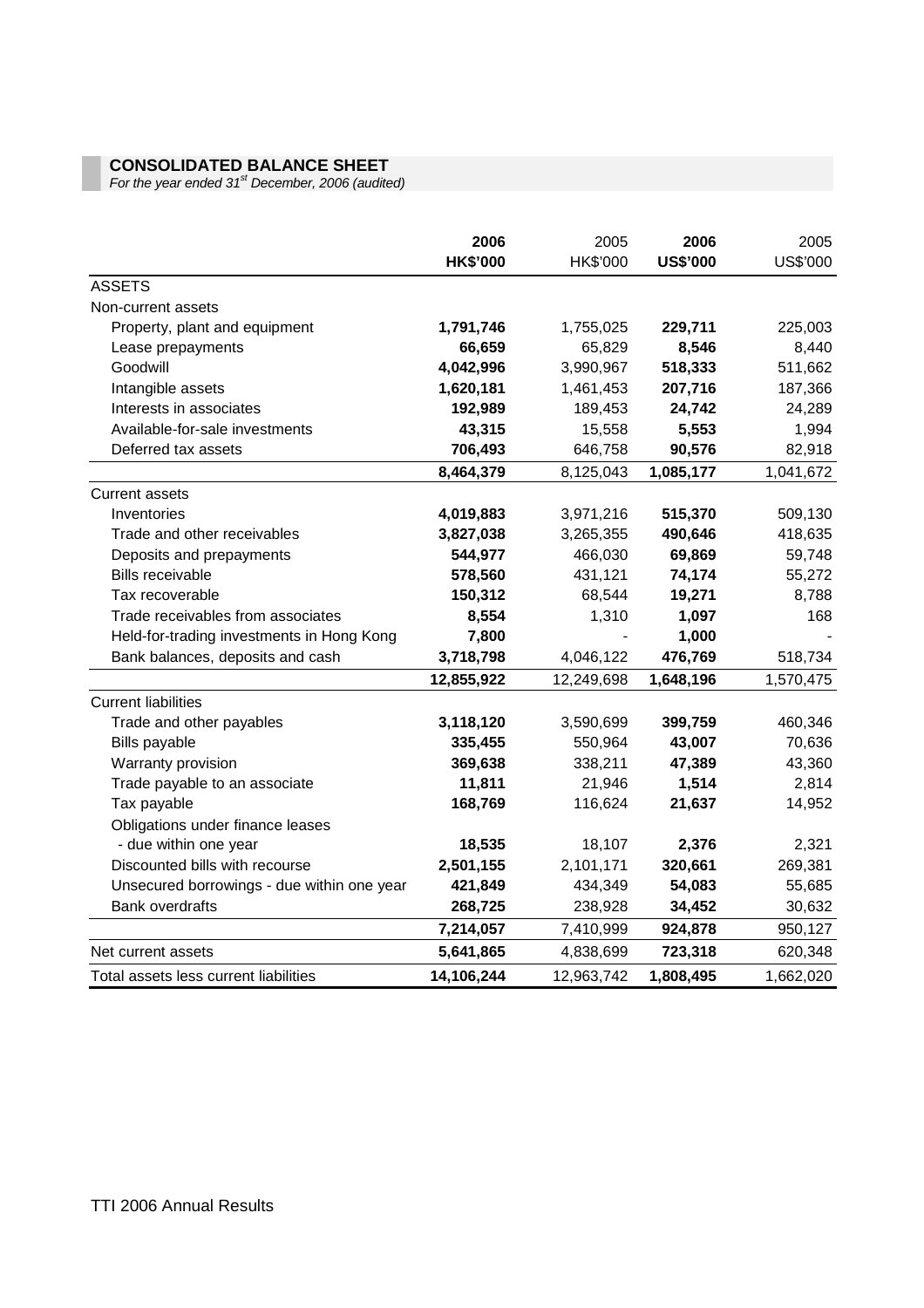# **CONSOLIDATED BALANCE SHEET**

For the year ended 31<sup>st</sup> December, 2006 (audited)

|                                            | 2006<br><b>HK\$'000</b> | 2005<br>HK\$'000 | 2006<br><b>US\$'000</b> | 2005<br>US\$'000 |
|--------------------------------------------|-------------------------|------------------|-------------------------|------------------|
| <b>ASSETS</b>                              |                         |                  |                         |                  |
| Non-current assets                         |                         |                  |                         |                  |
| Property, plant and equipment              | 1,791,746               | 1,755,025        | 229,711                 | 225,003          |
| Lease prepayments                          | 66,659                  | 65,829           | 8,546                   | 8,440            |
| Goodwill                                   | 4,042,996               | 3,990,967        | 518,333                 | 511,662          |
| Intangible assets                          | 1,620,181               | 1,461,453        | 207,716                 | 187,366          |
| Interests in associates                    | 192,989                 | 189,453          | 24,742                  | 24,289           |
| Available-for-sale investments             | 43,315                  | 15,558           | 5,553                   | 1,994            |
| Deferred tax assets                        | 706,493                 | 646,758          | 90,576                  | 82,918           |
|                                            | 8,464,379               | 8,125,043        | 1,085,177               | 1,041,672        |
| <b>Current assets</b>                      |                         |                  |                         |                  |
| Inventories                                | 4,019,883               | 3,971,216        | 515,370                 | 509,130          |
| Trade and other receivables                | 3,827,038               | 3,265,355        | 490,646                 | 418,635          |
| Deposits and prepayments                   | 544,977                 | 466,030          | 69,869                  | 59,748           |
| <b>Bills receivable</b>                    | 578,560                 | 431,121          | 74,174                  | 55,272           |
| Tax recoverable                            | 150,312                 | 68,544           | 19,271                  | 8,788            |
| Trade receivables from associates          | 8,554                   | 1,310            | 1,097                   | 168              |
| Held-for-trading investments in Hong Kong  | 7,800                   |                  | 1,000                   |                  |
| Bank balances, deposits and cash           | 3,718,798               | 4,046,122        | 476,769                 | 518,734          |
|                                            | 12,855,922              | 12,249,698       | 1,648,196               | 1,570,475        |
| <b>Current liabilities</b>                 |                         |                  |                         |                  |
| Trade and other payables                   | 3,118,120               | 3,590,699        | 399,759                 | 460,346          |
| Bills payable                              | 335,455                 | 550,964          | 43,007                  | 70,636           |
| Warranty provision                         | 369,638                 | 338,211          | 47,389                  | 43,360           |
| Trade payable to an associate              | 11,811                  | 21,946           | 1,514                   | 2,814            |
| Tax payable                                | 168,769                 | 116,624          | 21,637                  | 14,952           |
| Obligations under finance leases           |                         |                  |                         |                  |
| - due within one year                      | 18,535                  | 18,107           | 2,376                   | 2,321            |
| Discounted bills with recourse             | 2,501,155               | 2,101,171        | 320,661                 | 269,381          |
| Unsecured borrowings - due within one year | 421,849                 | 434,349          | 54,083                  | 55,685           |
| <b>Bank overdrafts</b>                     | 268,725                 | 238,928          | 34,452                  | 30,632           |
|                                            | 7,214,057               | 7,410,999        | 924,878                 | 950,127          |
| Net current assets                         | 5,641,865               | 4,838,699        | 723,318                 | 620,348          |
| Total assets less current liabilities      | 14,106,244              | 12,963,742       | 1,808,495               | 1,662,020        |